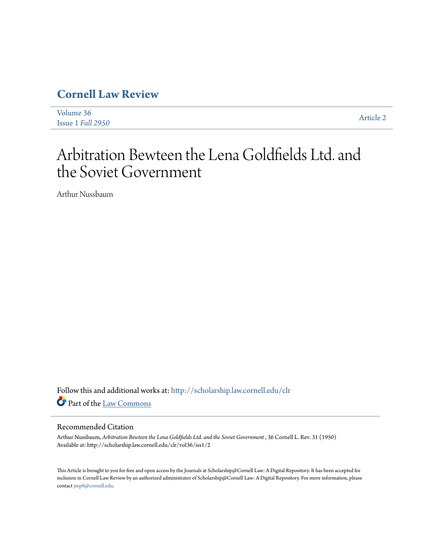## **[Cornell Law Review](http://scholarship.law.cornell.edu/clr?utm_source=scholarship.law.cornell.edu%2Fclr%2Fvol36%2Fiss1%2F2&utm_medium=PDF&utm_campaign=PDFCoverPages)**

| Volume 36         |                  |
|-------------------|------------------|
| Issue 1 Fall 2950 | <b>Article 2</b> |

# Arbitration Bewteen the Lena Goldfields Ltd. and the Soviet Government

Arthur Nussbaum

Follow this and additional works at: [http://scholarship.law.cornell.edu/clr](http://scholarship.law.cornell.edu/clr?utm_source=scholarship.law.cornell.edu%2Fclr%2Fvol36%2Fiss1%2F2&utm_medium=PDF&utm_campaign=PDFCoverPages) Part of the [Law Commons](http://network.bepress.com/hgg/discipline/578?utm_source=scholarship.law.cornell.edu%2Fclr%2Fvol36%2Fiss1%2F2&utm_medium=PDF&utm_campaign=PDFCoverPages)

### Recommended Citation

Arthur Nussbaum, *Arbitration Bewteen the Lena Goldfields Ltd. and the Soviet Government* , 36 Cornell L. Rev. 31 (1950) Available at: http://scholarship.law.cornell.edu/clr/vol36/iss1/2

This Article is brought to you for free and open access by the Journals at Scholarship@Cornell Law: A Digital Repository. It has been accepted for inclusion in Cornell Law Review by an authorized administrator of Scholarship@Cornell Law: A Digital Repository. For more information, please contact [jmp8@cornell.edu.](mailto:jmp8@cornell.edu)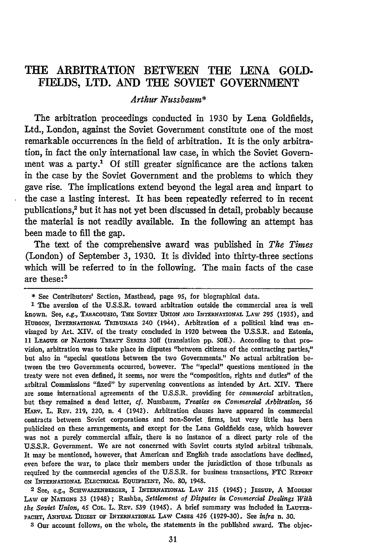## THE ARBITRATION **BETWEEN** THE **LENA GOLD-FIELDS,** LTD. **AND** THE SOVIET **GOVERNMENT**

#### *Arthur Nussbaum\**

The arbitration proceedings conducted in 1930 **by** Lena Goldfields, Ltd., London, against the Soviet Government constitute one of the most remarkable occurrences in the field of arbitration. It is the only arbitration, in fact the only international law case, in which the Soviet Government was a party.<sup>1</sup> Of still greater significance are the actions taken in the case **by** the Soviet Government and the problems to which they gave rise. The implications extend beyond the legal area and impart to the case a lasting interest. It has been repeatedly referred to in recent publications,2 but it has not yet been discussed in detail, probably because the material is not readily available. In the following an attempt has been made to fill the gap.

The text of the comprehensive award was published in *The Times* (London) of September 3, 1930. It is divided into thirty-three sections which will be referred to in the following. The main facts of the case are these:<sup>3</sup>

**1** The aversion of the U.S.S.R. toward arbitration outside the commercial area is well known. See, e.g., TARACOUSIO, THE SOVIET UNION AND INTERNATIONAL LAW 295 (1935), and HUDSON, **INTERNATONAL TRIBUNALS** 240 (1944). Arbitration of a political kind was envisaged **by** Art. XIV. of the treaty concluded in 1920 between the **U.S.S.R.** and Estonia, 11 **LEAGUE OF** NATIONS **TREATY SERIES** 30ff (translation **pp. 50ff.).** According to that provision, arbitration was to take place in disputes "between citizens of the contracting parties," but also in "special questions between the two Governments." No actual arbitration between the two Governments occurred, however. The "special" questions mentioned in the treaty were not even defined, it seems, nor were the "composition, rights and duties" of the arbitral Commissions "fixed" by supervening conventions as intended **by** Art. **XIV.** There are some international agreements of the **U.S.S.R.** providing for *commercial* arbitration, but they remained a dead letter, *cf.* Nussbaum, *Treaties on Commercial Arbitration, 56* HARv. L. REv. **219,** 220, n. 4 (1942). Arbitration clauses have appeared in commercial contracts between Soviet corporations and non-Soviet firms, but very little has been publicized on these arrangements, and except for the Lena Goldfields case, which however was not a purely commercial affair, there is no instance of a direct party role of the **U.S.S.R.** Government. We are not concerned with Soviet courts styled arbitral tribunals. It may be mentioned, however, that American and English trade associations have declined, even before the war, to place their members under the jurisdiction of those tribunals as required **by** the commercial agencies of the **U.S.S.R.** for business transactions, **FTC REPORT** ON INTERNATIONAL ELECTRICAL EQUIPMENT, No. 80, 1948.

**2** See, e.g., **SCHWARZENBERGER,** I **INTERNATIONAL LAw** 215 (1945); JEsSUP, **A** MIODERN LAw or **NATIONS** 33 (1948); Rashba, *Settlement of Disputes in Commercial Dealings With the Soviet Union,* 45 **COL.** L. REv. **539** (1945). A brief summary was included in **LAUTER-PACHT, ANNUAL DIGEST OF INTERNATIONAL LAW CASES** 426 **(1929-30).** See *infra* n. *30.*

**3** Our account follows, on the whole, the statements in the published award. The objec-

**<sup>\*</sup>** See Contributors' Section, Masthead, page 95, for biographical data.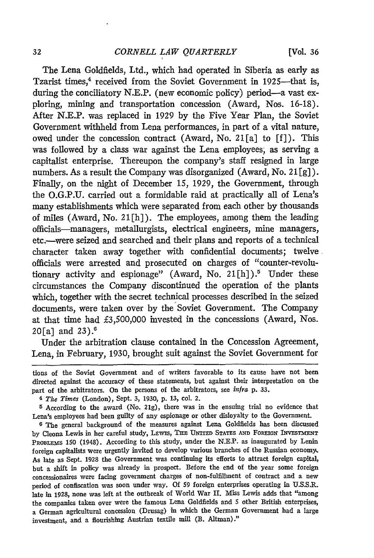The Lena Goldfields, Ltd., which had operated in Siberia as early as Tzarist times,<sup>4</sup> received from the Soviet Government in 1925—that is, during the conciliatory N.E.P. (new economic policy) period—a vast exploring, mining and transportation concession (Award, Nos. 16-18). After N.E.P. was replaced in 1929 by the Five Year Plan, the Soviet Government withheld from Lena performances, in part of a vital nature, owed under the concession contract (Award, No. 21[a] to [f]). This was followed by a class war against the Lena employees; as serving a capitalist enterprise. Thereupon the company's staff resigned in large numbers. As a result the Company was disorganized (Award, No. 21 $\lceil g \rceil$ ). Finally, on the night of December 15, 1929, the Government, through the O.G.P.U. carried out a formidable raid at practically all of Lena's many establishments which were separated from each other by thousands of miles (Award, No. 21 $[h]$ ). The employees, among them the leading officials-managers, metallurgists, electrical engineers, mine managers, etc.-were seized and searched and their plans and reports of a technical character taken away together with confidential documents; twelve officials were arrested and prosecuted on charges of "counter-revolutionary activity and espionage" (Award, No. 21[h]).<sup>5</sup> Under these circumstances the Company discontinued the operation of the plants which, together with the secret technical processes described in the seized documents, were taken over by the Soviet Government. The Company at that time had £3,500,000 invested in the concessions (Award, Nos. 20 $[a]$  and 23). $6$ 

Under the arbitration clause contained in the Concession Agreement, Lena, in February, 1930, brought suit against the Soviet Government for

tions of the Soviet Government and of writers favorable to its cause have not been directed against the accuracy of these statements, but against their interpretation on the part of the arbitrators. On the persons of the arbitrators, see *infra* **p. 33.**

<sup>4</sup> *The Times* (London), Sept. 3, **1930, p. 13,** col. 2.

<sup>5</sup> According to the award (No. **21g),** there was in the ensuing trial no evidence that Lena's employees had been guilty of any espionage or other disloyalty to the Government.

**<sup>6</sup>** The general background of the measures against Lena Goldfields has been discussed by Cleona Lewis in her careful study, LEwis, **THE** UNITED **STATES AND FOREON INVESTMENT** PROBLEMS **150** (1948). According to this study, under the **N.E.P.** as inaugurated **by** Lenin foreign capitalists were urgently invited to develop various branches of the Russian economy. As late as Sept. **1928** the Government was continuing its efforts to attract foreign capital, but a shift in policy was already in prospect. Before the end of the year some foreign concessionaires were facing government charges of non-fulfillment of contract and a new period of confiscation was soon under way. **Of** 59 foreign enterprises operating in **U.S.S.R.** late in **1928,** none was left at the outbreak of World War II. Miss Lewis adds that "among the companies taken over were the famous Lena Goldfields and **5** other British enterprises, a German agricultural concession (Drusag) in which the German Government had a large investment, and a flourishing Austrian textile **mill** (B. Altman) *."*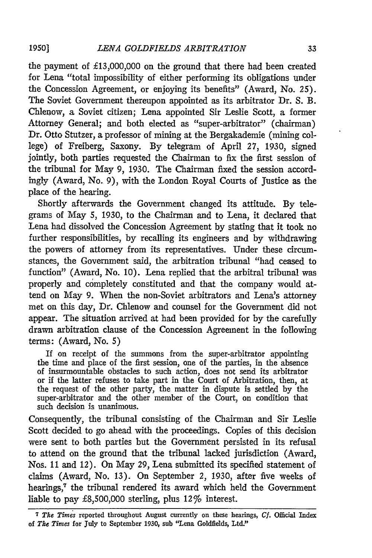**1950]**

the payment of £13,000,000 on the ground that there had been created for Lena "total impossibility of either performing its obligations under the Concession Agreement, or enjoying its benefits" (Award, No. 25). The Soviet Government thereupon appointed as its arbitrator Dr. S. B. Chlenow, a Soviet citizen; Lena appointed Sir Leslie Scott, a former Attorney General; and both elected as "super-arbitrator" (chairman) Dr. Otto Stutzer, a professor of mining at the Bergakademie (mining college) of Freiberg, Saxony. By telegram of April 27, 1930, signed jointly, both parties requested the Chairman to fix the first session of the tribunal for May 9, 1930. The Chairman fixed the session accordingly (Award, No. 9), with the London Royal Courts of Justice as the place of the hearing.

Shortly afterwards the Government changed its attitude. By telegrams of May **5,** 1930, to the Chairman and to Lena, it declared that Lena had dissolved the Concession Agreement by stating that it took no further responsibilities, by recalling its engineers and by withdrawing the powers of attorney from its representatives. Under these circumstances, the Government said, the arbitration tribunal "had ceased to function" (Award, No. 10). Lena replied that the arbitral tribunal was properly and completely constituted and that the company would attend on May 9. When the non-Soviet arbitrators and Lena's attorney met on this day, Dr. Chlenow and counsel for the Government did not appear. The situation arrived at had been provided for by the carefully drawn arbitration clause of the Concession Agreement in the following terms: (Award, No. **5)**

If on receipt of the summons from the super-arbitrator appointing the time and place of the first session, one of the parties, in the absence of insurmountable obstacles to such action, does not send its arbitrator or if the latter refuses to take part in the Court of Arbitration, then, at the request of the other party, the matter in dispute is settled by the super-arbitrator and the other member of the Court, on condition that such decision is unanimous.

Consequently, the tribunal consisting of the Chairman and Sir Leslie Scott decided to go ahead with the proceedings. Copies of this decision were sent to both parties but the Government persisted in its refusal to attend on the ground that the tribunal lacked jurisdiction (Award, Nos. 11 and 12). On May 29, Lena submitted its specified statement of claims (Award, No. 13). On September 2, 1930, after five weeks of hearings,<sup>7</sup> the tribunal rendered its award which held the Government liable to pay £8,500,000 sterling, plus 12% interest.

*<sup>7</sup> The Times* reported throughout August currently on these hearings, *Cf.* Official Index of *The Times* for July to September 1930, sub "Lena Goldfields, Ltd."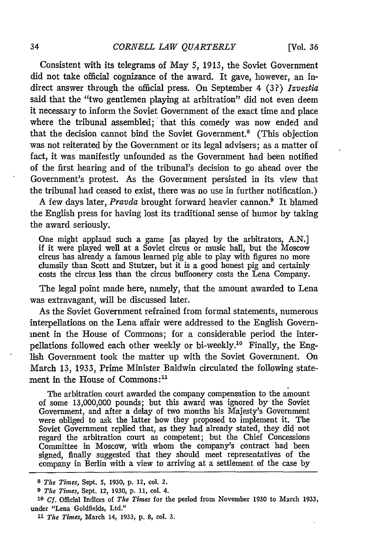Consistent with its telegrams of May 5, 1913, the Soviet Government did not take official cognizance of the award. It gave, however, an indirect answer through the official press. On September 4 (3?) *Izvestia* said that the "two gentlemen playing at arbitration" did not even deem it necessary to inform the Soviet Government of the exact time and place where the tribunal assembled; that this comedy was now ended and that the decision cannot bind the Soviet Government.<sup>8</sup> (This objection was not reiterated by the Government or its legal advisers; as a matter of fact, it was manifestly unfounded as the Government had been notified of the first hearing and of the tribunal's decision to go ahead over the Government's protest. As the Government persisted in its view that the tribunal had ceased to exist, there was no use in further notification.)

A few days later, *Pravda* brought forward heavier cannon.<sup>9</sup> It blamed the English press for having lost its traditional sense of humor by taking the award seriously.

One might applaud such a game [as played by the arbitrators, A.N.] if it were played well at a Soviet circus or music hall, but the Moscow circus has already a famous learned pig able to play with figures no more clumsily than Scott and Stutzer, but it is a good honest pig and certainly costs the circus less than the circus buffoonery costs the Lena Company.

The legal point made here, namely, that the amount awarded to Lena was extravagant, will be discussed later.

As the Soviet Government refrained from formal statements, numerous interpellations on the Lena affair were addressed to the English Government in the House of Commons; for a considerable period the interpellations followed each other weekly or bi-weekly.<sup>10</sup> Finally, the English Government took the matter up with the Soviet Government. On March 13, 1933, Prime Minister Baldwin circulated the following statement in the House of Commons:<sup>11</sup>

The arbitration court awarded the company compensation to the amount of some 13,000,000 pounds; but this award was ignored by the Soviet Government, and after a delay of two months his Majesty's Government were obliged to ask the latter how they proposed to implement it. The Soviet Government replied that, as they had already stated, they did not regard the arbitration court as competent; but the Chief Concessions Committee in Moscow, with whom the company's contract had been signed, finally suggested that they should meet representatives of the company in Berlin with a view to arriving at a settlement of the case by

*<sup>8</sup>The Times,* Sept. **5, 1930, p.** 12, col. 2.

**<sup>9</sup>** *The Times,* Sept. 12, **1930, p. 11,** col. **4.**

*<sup>10</sup>* **Cf.** Official Indices of *The Times* for **the** period from November **1930** to March **1933,** under "Lena Goldfields, Ltd."

**<sup>11</sup>** *The Times,* March **14, 1933, p. 8,** col. **3.**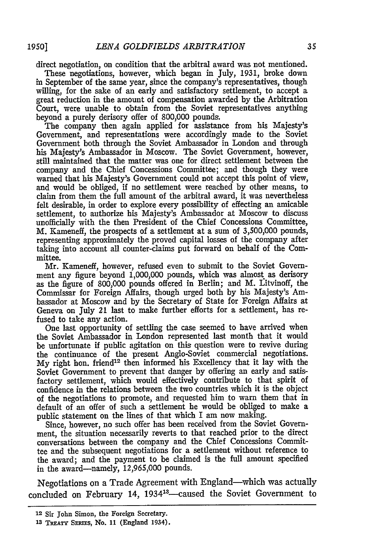direct negotiation, on condition that the arbitral award was not mentioned.

These negotiations, however, which began in July, 1931, broke down in September of the same year, since the company's representatives, though willing, for the sake of an early and satisfactory settlement, to accept a great reduction in the amount of compensation awarded by the Arbitration Court, were unable to obtain from the Soviet representatives anything beyond a purely derisory offer of 800,000 pounds.

The company then again applied for assistance from his Majesty's Government, and representations were accordingly made to the Soviet Government both through the Soviet Ambassador in London and through his Majesty's Ambassador in Moscow. The Soviet Government, however, still maintained that the matter was one for direct settlement between the company and the Chief Concessions Committee; and though they were warned that his Majesty's Government could not accept this point of view, and would be obliged, if no settlement were reached by other means, to claim from them the full amount of the arbitral award, it was nevertheless felt desirable, in order to explore every possibility of effecting an amicable settlement, to authorize his Majesty's Ambassador at Moscow to discuss unofficially with the then President of the Chief Concessions Committee, M. Kameneff, the prospects of a settlement at a sum of 3,500,000 pounds, representing approximately the proved capital losses of the company after taking into account all counter-claims put forward on behalf of the Committee.

Mr. Kameneff, however, refused even to submit to the Soviet Government any figure beyond 1,000,000 pounds, which was almost as derisory as the figure of 800,000 pounds offered in Berlin; and M. Litvinoff, the Commissar for Foreign Affairs, though urged both by his Majesty's Ambassador at Moscow and by the Secretary of State for Foreign Affairs at Geneva on July 21 last to make further efforts for a settlement, has refused to take any action.

One last opportunity of settling the case seemed to have arrived when the Soviet Ambassador in London represented last month that it would be unfortunate if public agitation on this question were to revive during the continuance of the present Anglo-Soviet commercial negotiations. My right hon. friend<sup>12</sup> then informed his Excellency that it lay with the Soviet Government to prevent that danger by offering an early and satisfactory settlement, which would effectively contribute to that spirit of confidence in the relations between the two countries which it is the object of the negotiations to promote, and requested him to warn them that in default of an offer of such a settlement he would be obliged to make a public statement on the lines of that which I am now making.

Since, however, no such offer has been received from the Soviet Government, the situation necessarily reverts to that reached prior to the direct conversations between the company and the Chief Concessions Committee and the subsequent negotiations for a settlement without reference to the award; and the payment to be claimed is the full amount specified in the award-namely, 12,965,000 pounds.

Negotiations on a Trade Agreement with England-which was actually concluded on February 14, 1934<sup>13</sup>-caused the Soviet Government to

**<sup>12</sup> Sir** John Simon, the Foreign Secretary.

**<sup>13</sup> TREATY** SERIES, **No. 11** (England 1934).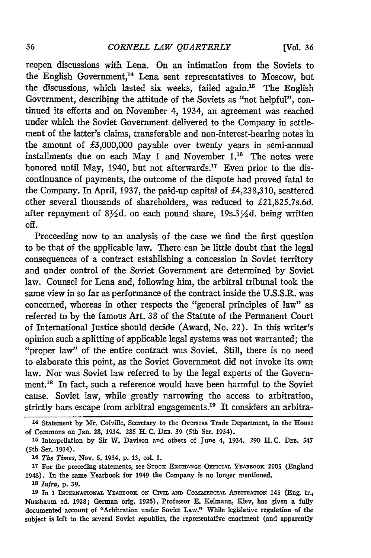reopen discussions with Lena. On an intimation from the Soviets to the English Government,<sup>14</sup> Lena sent representatives to Moscow, but the discussions, which lasted six weeks, failed again.'5 The English Government, describing the attitude of the Soviets as "not helpful", continued its efforts and on November 4, 1934, an agreement was reached under which the Soviet Government delivered to the Company in settlement of the latter's claims, transferable and non-interest-bearing notes in the amount of £3,000,000 payable over twenty years in semi-annual installments due on each May 1 and November  $1<sup>16</sup>$  The notes were honored until May, 1940, but not afterwards.<sup>17</sup> Even prior to the discontinuance of payments, the outcome of the dispute had proved fatal to the Company. In April, 1937, the paid-up capital of £4,238,310, scattered other several thousands of shareholders, was reduced to £21,825.7s.6d. after repayment of  $8\frac{1}{2}d$ . on each pound share, 19s.3 $\frac{1}{2}d$ . being written off.

Proceeding now to an analysis of the case we find the first question to be that of the applicable law. There can be little doubt that the legal consequences of a contract establishing a concession in Soviet territory and under control of the Soviet Government are determined by Soviet law. Counsel for Lena and, following him, the arbitral tribunal took the same view in so far as performance of the contract inside the U.S.S.R. was concerned, whereas in other respects the "general principles of law" as referred to by the famous Art. 38 of the Statute of the Permanent Court of International Justice should decide (Award, No. 22). In this writer's opinion such a splitting of applicable legal systems was not warranted; the "proper law" of the entire contract was Soviet. Still, there is no need to elaborate this point, as the Soviet Government did not invoke its own law. Nor was Soviet law referred to by the legal experts of the Government.<sup>18</sup> In fact, such a reference would have been harmful to the Soviet cause. Soviet law, while greatly narrowing the access to arbitration, strictly bars escape from arbitral engagements.<sup>19</sup> It considers an arbitra-

**<sup>14</sup>** Statement **by** Mr. Colville, Secretary to the Overseas Trade Department, in the House of Commons on Jan. **28,** 1934. 285 H. **C.** DEB. 39 (5th Ser. 1934).

**<sup>15</sup>**Interpellation **by** Sir W. Davison and others of June *4,* 1934. **290** H. **C. DEB.** 547 (5th Ser. 1934).

*<sup>1</sup> The Times,* Nov. **6,** 1934, **p. 13,** col. **1.**

<sup>&</sup>lt;sup>17</sup> For the preceding statements, see STOCK EXCHANGE OFFICIAL YEARBOOK 2905 (England 1948). In the same Yearbook for 1949 the Company is no longer mentioned.

**<sup>18</sup>** *Infra,* **p. 39.**

<sup>19</sup> In 1 INTERNATIONAL YEARBOOK ON CIVIL AND COMMERCIAL ARBITRATION 145 (Eng. tr., Nussbaum ed. **1928;** German orig. **1926),** Professor **E.** Kelmann, Kiev, has given a fully documented account of "Arbitration under Soviet Law." While legislative regulation of the subject is left to the several Soviet republics, the representative enactment (and apparently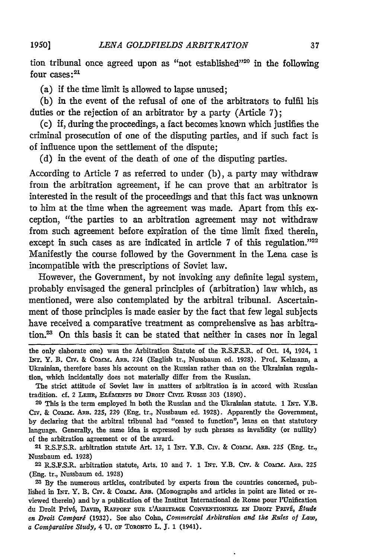tion tribunal once agreed upon as "not established"<sup>220</sup> in the following four cases:<sup>21</sup>

(a) if the time limit is allowed to lapse unused;

(b) in the event of the refusal of one of the arbitrators to fulfil his duties or the rejection of an arbitrator by a party (Article 7);

(c) if, during the proceedings, a fact becomes known which justifies the criminal prosecution of one of the disputing parties, and if such fact is of influence upon the settlement of the dispute;

(d) in the event of the death of one of the disputing parties.

According to Article 7 as referred to under (b), a party may withdraw from the arbitration agreement, if he can prove that an arbitrator is interested in the result of the proceedings and that this fact was unknown to him at the time when the agreement was made. Apart from this exception, "the parties to an arbitration agreement may not withdraw from such agreement before expiration of the time limit fixed therein, except in such cases as are indicated in article 7 of this regulation."<sup>22</sup> Manifestly the course followed by the Government in the Lena case is incompatible with the prescriptions of Soviet law.

However, the Government, by not invoking any definite legal system, probably envisaged the general principles of (arbitration) law which, as mentioned, were also contemplated by the arbitral tribunal. Ascertainment of those principles is made easier by the fact that few legal subjects have received a comparative treatment as comprehensive as has arbitration.<sup>23</sup> On this basis it can be stated that neither in cases nor in legal

the only elaborate one) was the Arbitration Statute of the R.S.F.S.R. of Oct. 14, 1924, 1 INT. Y. B. **Civ.** & Comm. ARB. 224 (English tr., Nussbaum ed. 1928). Prof. Kelmann, a Ukrainian, therefore bases his account on the Russian rather than on the Ukrainian regulation, which incidentally does not materially differ from the Russian.

The strict attitude of Soviet law in matters of arbitration is in accord with Russian tradition. cf. 2 LEHR, ELÉMENTS DU DROIT CIVIL RUSSE 303 (1890).

**20** This is the term employed in both the Russian and the Ukrainian statute. **1** INT. Y.B. Civ. & Comm. ARB. 225, 229 (Eng. tr., Nussbaum ed. 1928). Apparently the Government, **by** declaring that the arbitral tribunal had "ceased to function", leans on that statutory language. Generally, the same idea is expressed by such phrases as invalidity (or nullity) of the arbitration agreement or of the award.

**21** R.S.F.S.R. arbitration statute Art. 12, **1** INT. Y.B. **CIV. &** CoMrar. Am. 225 (Eng. tr., Nussbaum ed. **1928)**

**22** R.S.F.S.R. arbitration statute, Arts. 10 and 7. **1** INT. Y.B. Civ. **&** Comm. Am. 225 (Eng. tr., Nussbaum ed. **1928)**

**2-3** By the numerous articles, contributed **by** experts from the countries concerned, published in **INT.** Y. B. Civ. **&** Coma. Am. (Monographs and articles in point are listed or reviewed therein) and **by** a publication of the Institut International de Rome pour l'Unification du Droit Privi, DAVID, **RAPPORT suR L'ARBITRAGE** CONVENTIONxEL **N Daorr** PRIvE, *Atude en Droit Compari* (1932). See also Cohn, *Commercial Arbitration and the Rules of Law, a Comparative Study,* 4 U. or TORONTO L. **J.** 1 (1941).

**1950]**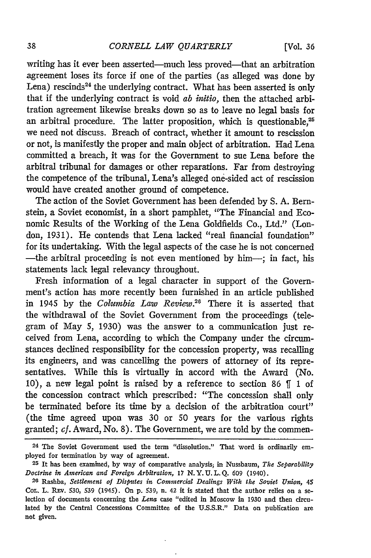writing has it ever been asserted—much less proved—that an arbitration agreement loses its force if one of the parties (as alleged was done by Lena) rescinds<sup>24</sup> the underlying contract. What has been asserted is only that if the underlying contract is void *ab initio,* then the attached arbitration agreement likewise breaks down so as to leave no legal basis for an arbitral procedure. The latter proposition, which is questionable,<sup>25</sup> we need not discuss. Breach of contract, whether it amount to rescission or not, is manifestly the proper and main object of arbitration. Had Lena committed a breach, it was for the Government to sue Lena before the arbitral tribunal for damages or other reparations. Far from destroying the competence of the tribunal, Lena's alleged one-sided act of rescission would have created another ground of competence.

The action of the Soviet Government has been defended by S. A. Bernstein, a Soviet economist, in a short pamphlet, "The Financial and Economic Results of the Working of the Lena Goldfields Co., Ltd." (London, 1931). He contends that Lena lacked "real financial foundation" for its undertaking. With the legal aspects of the case he is not concerned -the arbitral proceeding is not even mentioned by him-; in fact, his statements lack legal relevancy throughout.

Fresh information of a legal character in support of the Government's action has more recently been furnished in an article published in 1945 by the *Columbia Law Review.26* There it is asserted that the withdrawal of the Soviet Government from the proceedings (telegram of May 5, 1930) was the answer to a communication just received from Lena, according to which the Company under the circumstances declined responsibility for the concession property, was recalling its engineers, and was cancelling the powers of attorney of its representatives. While this is virtually in accord with the Award (No. 10), a new legal point is raised by a reference to section 86 **ff** 1 of the concession contract which prescribed: "The concession shall only be terminated before its time by a decision of the arbitration court" (the time agreed upon was 30 or 50 years for the various rights granted; *cf.* Award, No. 8). The Government, we are told by the commen-

l,

<sup>24</sup> The Soviet Government used the term "dissolution." That word is ordinarily employed for termination **by** way of agreement.

**<sup>25</sup>** It has been examined, **by** way of comparative analysis; in Nussbaum, *The Separability Doctrine in American and Foreign Arbitration,* **17 N.Y.U.L.Q. 609** (1940).

**<sup>26</sup>**Rashba, *Settlement of Disputes in Commercial Dealings With the Soviet Union, 45* CoL. L. **Rxv. 530, 539** (1945). On **p. 539,** n. 42 it is stated that the author relies on a selection of documents concerning the *Lena* case "edited in Moscow in **1930** and then circulated **by** the Central Concessions Committee of the **U.S.S.R."** Data on publication are not given.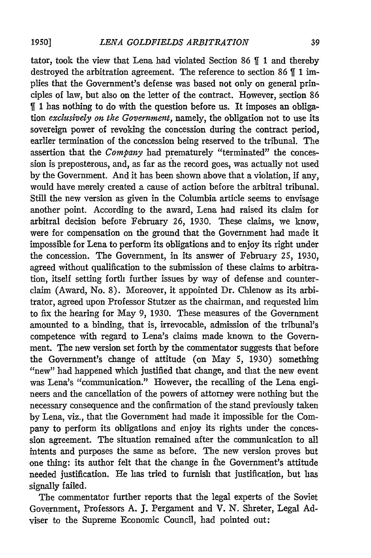tator, took the view that Lena had violated Section 86 **1** and thereby destroyed the arbitration agreement. The reference to section 86 \[ 1 implies that the Government's defense was based not only on general principles of law, but also on the letter of the contract. However, section 86 1 has nothing to do with the question before us. It imposes an obligation *exclusively on the Government,* namely, the obligation not to use its sovereign power of revoking the concession during the contract period, earlier termination of the concession being reserved to the tribunal. The assertion that the *Company* had prematurely "terminated" the concession is preposterous, and, as far as the record goes, was actually not used by the Government. And it has been shown above that a violation, if any, would have merely created a cause of action before the arbitral tribunal. Still the new version as given in the Columbia article seems to envisage another point. According to the award, Lena had raised its claim for arbitral decision before February 26, 1930. These claims, we know, were for compensation on the ground that the Government had made it impossible for Lena to perform its obligations and to enjoy its right under the concession. The Government, in its answer of February *25,* 1930, agreed without qualification to the submission of these claims to arbitration, itself setting forth further issues by way of defense and counterclaim (Award, No. 8). Moreover, it appointed Dr. Chlenow as its arbitrator, agreed upon Professor Stutzer as the chairman, and requested him to fix the hearing for May 9, 1930. These measures of the Government amounted to a binding, that is, irrevocable, admission of the tribunal's competence with regard to Lena's claims made known to the Government. The new version set forth by the commentator suggests that before the Government's change of attitude (on May 5, 1930) something "'new" had happened which justified that change, and that the new event was Lena's "communication." However, the recalling of the Lena engineers and the cancellation of the powers of attorney were nothing but the necessary consequence and the confirmation of the stand previously taken by Lena, viz., that the Government had made it impossible for the Company to perform its obligations and enjoy its rights under the concession agreement. The situation remained after the communication to all intents and purposes the same as before. The new version proves but one thing: its author felt that the change in ihe Government's attitude needed justification. He has tried to furnish that justification, but has signally failed.

The commentator further reports that the legal experts of the Soviet Government, Professors A. **J.** Pergament and V. N. Shreter, Legal Adviser to the Supreme Economic Council, had pointed out: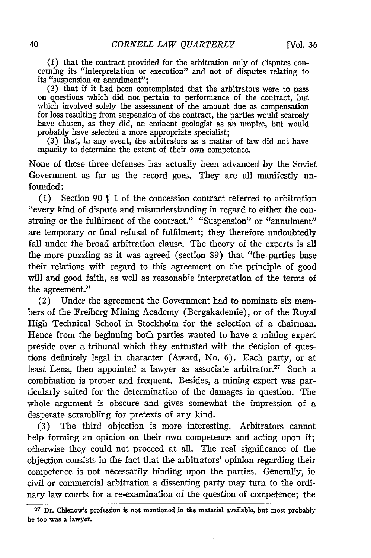**(1)** that the contract provided for the arbitration only of disputes concerning its "interpretation or execution" and not of disputes relating to its "suspension or annulment";

*(2)* that if it had been contemplated that the arbitrators were to pass on questions which did not pertain to performance of the contract, but which involved solely the assessment of the amount due as compensation for loss resulting from suspension of the contract, the parties would scarcely have chosen, as they did, an eminent geologist as an umpire, but would probably have selected a more appropriate specialist;

(3) that, in any event, the arbitrators as a matter of law did not have capacity to determine the extent of their own competence.

None of these three defenses has actually been advanced by the Soviet Government as far as the record goes. They are all manifestly unfounded:

**(1)** Section 90 **f11** of the concession contract referred to arbitration "every kind of dispute and misunderstanding in regard to either the construing or the fulfilment of the contract." "Suspension" or "annulment" are temporary or final refusal of fulfilment; they therefore undoubtedly fall under the broad arbitration clause. The theory of the experts is all the more puzzling as it was agreed (section 89) that "the-parties base their relations with regard to this agreement on the principle of good will and good faith, as well as reasonable interpretation of the terms of the agreement."

(2) Under the agreement the Government had to nominate six members of the Freiberg Mining Academy (Bergakademie), or of the Royal High Technical School in Stockholm for the selection of a chairman. Hence from the beginning both parties wanted to have a mining expert preside over a tribunal which they entrusted with the decision of questions definitely legal in character (Award, No. 6). Each party, or at least Lena, then appointed a lawyer as associate arbitrator. $27$  Such a combination is proper and frequent. Besides, a mining expert was particularly suited for the determination of the damages in question. The whole argument is obscure and gives somewhat the impression of a desperate scrambling for pretexts of any kind.

(3) The third objection is more interesting. Arbitrators cannot help forming an opinion on their own competence and acting upon it; otherwise they could not proceed at all. The real significance of the objection consists in the fact that the arbitrators' opinion regarding their competence is not necessarily binding upon the parties. Generally, in civil or commercial arbitration a dissenting party may turn to the ordinary law courts for a re-examination of the question of competence; the

**<sup>27</sup>** Dr. Chlenow's profession is not mentioned in the material available, but most probably he too was a lawyer.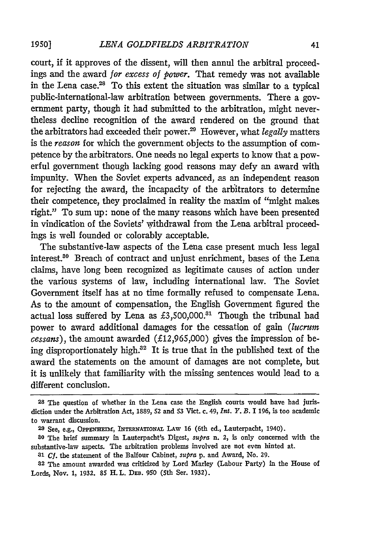court, if it approves of the dissent, will then annul the arbitral proceedings and the award *for excess of power.* That remedy was not available in the Lena case.<sup>28</sup> To this extent the situation was similar to a typical public-international-law arbitration between governments. There a government party, though it had submitted to the arbitration, might nevertheless decline recognition of the award rendered on the ground that the arbitrators had exceeded their power.29 However, what *legally* matters is the *reason* for which the government objects to the assumption of competence by the arbitrators. One needs no legal experts to know that a powerful government though lacking good reasons may defy an award with impunity. When the Soviet experts advanced, as an independent reason for rejecting the award, the incapacity of the arbitrators to determine their competence, they proclaimed in reality the maxim of "might makes right." To sum up: none of the many reasons which have been presented in vindication of the Soviets' withdrawal from the Lena arbitral proceedings is well founded or colorably acceptable.

The substantive-law aspects of the Lena case present much less legal interest 8° Breach of contract and unjust enrichment, bases of the Lena claims, have long been recognized as legitimate causes of action under the various systems of law, including international law. The Soviet Government itself has at no time formally refused to compensate Lena. As to the amount of compensation, the English Government figured the actual loss suffered by Lena as  $£3,500,000.^{31}$  Though the tribunal had power to award additional damages for the cessation of gain *(lucrum cessans),* the amount awarded (£12,965,000) gives the impression of being disproportionately high.<sup>32</sup> It is true that in the published text of the award the statements on the amount of damages are not complete, but it is unlikely that familiarity with the missing sentences would lead to a different conclusion.

**<sup>28</sup>** The question of whether in the Lena case the English courts would have had jurisdiction under the Arbitration Act, 1889, **52** and **53** Vict. c. 49, *Int. Y. B.* I 196, is too academic to warrant discussion.

**<sup>29</sup>** See, e.g., **OPPENmHEI, INTERNATiONAL LAW** 16 (6th ed., Lauterpacht, 1940).

**<sup>80</sup>** The brief summary in Lauterpacht's Digest, *supra* n. 2, is only concerned with the substantive-law aspects. The arbitration problems involved are not even hinted at.

*<sup>31</sup> Cf.* the statement of the Balfour Cabinet, *supra* p. and Award, No. 29.

**<sup>82</sup>** The amount awarded was criticized by Lord Marley (Labour Party) in the House of Lords, Nov. **1,** 1932. **85** H. L. DEB. 950 (5th Ser. 1932).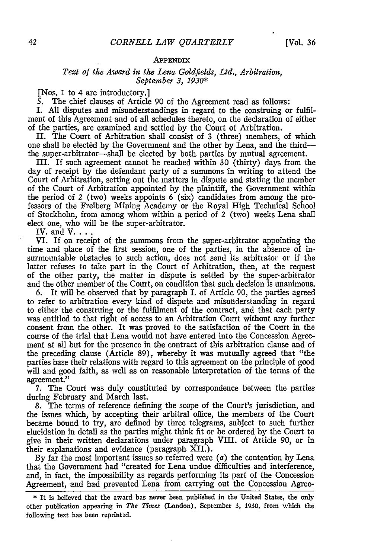#### APPENDIX

#### *Text of the Award in the Lena Goldfields, Ltd., Arbitration, September 3, 1930\**

[Nos. 1 to 4 are introductory.]

**5.** The chief clauses of Article 90 of the Agreement read as follows:

I. All disputes and misunderstandings in regard to the construing or fulfilment of this Agreement and of all schedules thereto, on the declaration of either of the parties, are examined and settled **by** the Court of Arbitration.

II. The Court of Arbitration shall consist of **3** (three) members, of which one shall be elected by the Government and the other **by** Lena, and the thirdthe super-arbitrator-shall be elected by both parties by mutual agreement.

III. If such agreement cannot be reached within **30** (thirty) days from the day of receipt by the defendant party of a summons in writing to attend the Court of Arbitration, setting out the matters in dispute and stating the member of the Court of Arbitration appointed by the plaintiff, the Government within the period of *2* (two) weeks appoints 6 (six) candidates from among the professors of the Freiberg Mining Academy or the Royal High Technical School of Stockholm, from among whom within a period of 2 (two) weeks Lena shall elect one, who will be the super-arbitrator.

IV. and **V....**

VI. If on receipt of the summons from the super-arbitrator appointing the time and place of the first session, one of the parties, in the absence of insurmountable obstacles to such action, does not send its arbitrator or if the latter refuses to take part in the Court of Arbitration, then, at the request of the other party, the matter in dispute is settled by the super-arbitrator and the other member of the Court, on condition that such decision is unanimous.<br>6. It will be observed that by paragraph I. of Article 90. the parties agreed

6. It will be observed that by paragraph I. of Article **90,** the parties agreed to refer to arbitration every kind of dispute and misunderstanding in regard to either the construing or the fulfilment of the contract, and that each party was entitled to that right of access to an Arbitration Court without any further consent from the other. It was proved to the satisfaction of the Court in the course of the trial that Lena would not have entered into the Concession Agreement at all but for the presence in the contract of this arbitration clause and of the preceding clause (Article 89), whereby it was mutually agreed that "the parties base their relations with regard to this agreement on the principle of good will and good faith, as well as on reasonable interpretation of the terms of the agreement."

7. The Court was duly constituted by correspondence between the parties during February and March last.

8. The terms of reference defining the scope of the Court's jurisdiction, and the issues which, by accepting their arbitral office, the members of the Court became bound to try, are defined by three telegrams, subject to such further elucidation in detail as the parties might think fit or be ordered by the Court to give in their written declarations under paragraph VIII. of Article **90,** or in their explanations and evidence (paragraph XII.).

By far the most important issues so referred were  $(a)$  the contention by Lena that the Government had "created for Lena undue difficulties and interference, and, in fact, the impossibility as regards performing its part of the Concession Agreement, and had prevented Lena from carrying out the Concession Agree-

<sup>\*</sup> It is believed that the award has never been published in the United States, the only other publication appearing in *The Times* (London), September 3, 1930, from which the following text has been reprinted.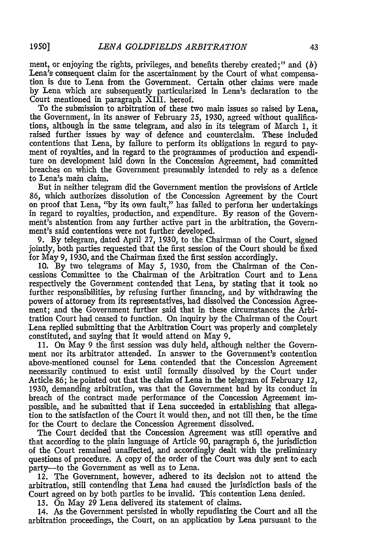ment, or enjoying the rights, privileges, and benefits thereby created;" and *(b)* Lena's consequent claim for the ascertainment by the Court of what compensation is due to Lena from the Government. Certain other claims were made by Lena which are subsequently particularized in Lena's declaration to the Court mentioned in paragraph XIII. hereof.

To the submission to arbitration of these two main issues so raised by Lena, the Government, in its answer of February 25, 1930, agreed without qualifications, although in the same telegram, and also in its telegram of March 1, it raised further issues by way of defence and counterclaim. These included contentions that Lena, by failure to perform its obligations in regard to payment of royalties, and in regard to the programmes of production and expenditure on development laid down in the Concession Agreement, had committed breaches on which the Government presumably intended to rely as a defence to Lena's main claim.

But in neither telegram did the Government mention the provisions of Article 86, which authorizes dissolution of the Concession Agreement by the Court on proof that Lena, "by its own fault," has failed to perform her undertakings in regard to royalties, production, and expenditure. By reason of the Government's abstention from any further active part in the arbitration, the Government's said contentions were not further' developed.

9. By telegram, dated April 27, 1930, to the Chairman of the Court, signed jointly, both parties requested that the first session of the Court should be fixed for May 9, 1930, and the Chairman fixed the first session accordingly.

**10.** By two telegrams of May **5,** 1930, from the Chairman of the Concessions Committee to the Chairman of the Arbitration Court and to Lena respectively the Government contended that Lena, by stating that it took no further responsibilities, by refusing further financing, and by withdrawing the powers of attorney from its representatives, had dissolved the Concession Agreement; and the Government further said that in these circumstances the Arbitration Court had ceased to function. On inquiry by the Chairman of the Court Lena replied submitting that the Arbitration Court was properly and completely constituted, and saying that it would attend on May 9.

11. On May 9 the first session was duly held, although neither the Government nor its arbitrator attended. In answer to the Government's contention above-mentioned counsel for Lena contended that the Concession Agreement necessarily continued to exist until formally dissolved by the Court under Article 86; he pointed out that the claim of Lena in the telegram of February 12, 1930, demanding arbitration, was that the Government had by its conduct in breach of the contract made performance of the Concession Agreement impossible, and he submitted that if Lena succeeded in establishing that allegation to the satisfaction of the Court it would then, and not till then, be the time for the Court to declare the Concession Agreement dissolved.

The Court decided that the Concession Agreement was still operative and that according to the plain language of Article **90,** paragraph 6, the jurisdiction of the Court remained unaffected, and accordingly dealt with the preliminary questions of procedure. A copy of the order of the Court was duly sent to each party--- to the Government as well as to Lena.

12. The Government, however, adhered to its decision not to attend the arbitration, still contending that Lena had caused the jurisdiction basis of the Court agreed on by both parties to be invalid. This contention Lena denied.

13. On May 29 Lena delivered its statement of claims.

14. As the Government persisted in wholly repudiating the Court and all the arbitration proceedings, the Court, on an application by Lena pursuant to the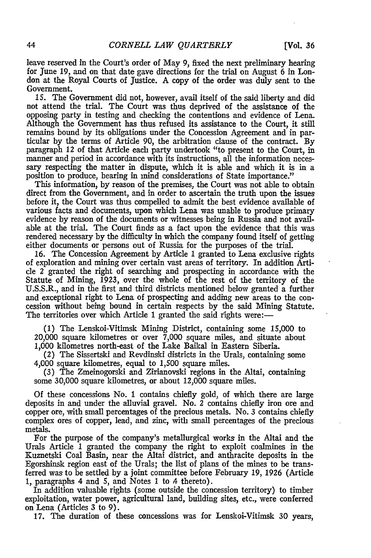leave reserved in the Court's order of May **9,** fixed the next preliminary hearing for June 19, and on that date gave directions for the trial on August 6 in London at the Royal Courts of Justice. A copy of the order was duly sent to the Government.

15. The Government did not, however, avail itself of the said liberty and did not attend the trial. The Court was thus deprived of the assistance of the opposing party in testing and checking the contentions and evidence of Lena. Although the Government has thus refused its assistance to the Court, it still remains bound by its obligations under the Concession Agreement and in particular by the terms of Article 90, the arbitration clause of the contract. By paragraph 12 of that Article each party undertook "to present to the Court, in manner and period in accordance with its instructions, all the information necessary respecting the matter in dispute, which it is able and which it is in a position to produce, bearing in mind considerations of State importance."

This information, by reason of the premises, the Court was not able to obtain direct from the Government, and in order to ascertain the truth upon the issues before it, the Court was thus compelled to admit the best evidence available of various facts and documents, upon which Lena was unable to produce primary evidence by reason of the documents or witnesses being in Russia and not available at the trial. The Court finds as a fact upon the evidence that this was rendered necessary by the difficulty in which the company found itself of getting either documents or persons out of Russia for the purposes of the trial.

16. The Concession Agreement by Article 1 granted to Lena exclusive rights of exploration and mining over certain vast areas of territory. In addition Article 2 granted the right of searching and prospecting in accordance with the Statute of Mining, 1923, over the whole of the rest of the territory of the U.S.S.R., and in the first and third districts mentioned below granted a further and exceptional right to Lena of prospecting and adding new areas to the concession without being bound in certain respects by the said Mining Statute. The territories over which Article 1 granted the said rights were:—

(1) The Lenskoi-Vitimsk Mining District, containing some 15,000 to 20,000 square kilometres or over 7,000 square miles, and situate about 1,000 kilometres north-east of the Lake Baikal in Eastern Siberia.

(2) The Sissertski and Revdinski districts in the Urals, containing some 4,000 square kilometres, equal to 1,500 square miles.

(3) The Zmeinogorski and Zirianovski regions in the Altai, containing some 30,000 square kilometres, or about 12,000 square miles.

Of these concessions No. 1 contains chiefly gold, of which there are large deposits in and under the alluvial gravel. No. 2 contains chiefly iron ore and copper ore, with small percentages of the precious metals. No. 3 contains chiefly complex ores of copper, lead, and zinc, with small percentages of the precious metals.

For the purpose of the company's metallurgical works in the Altai and the Urals Article 1 granted the company the right to exploit coalmines in the Kuznetski Coal Basin, near the Altai district, and anthracite deposits in the Egorshinsk region east of the Urals; the list of plans of the mines to be transferred was to be settled by a joint committee before February 19, 1926 (Article 1, paragraphs 4 and 5, and Notes 1 to 4 thereto).

In addition valuable rights (some outside the concession territory) to timber exploitation, water power, agricultural land, building sites, etc., were conferred on Lena (Articles 3 to 9).

17. The duration of these concessions was for Lenskoi-Vitimsk 30 years,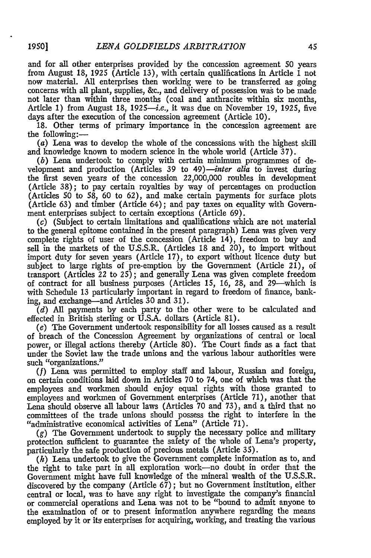and for all other enterprises provided by the concession agreement 50 years from August 18, 1925 (Article 13), with certain qualifications in Article 1 not now material. All enterprises then working were to be transferred as going concerns with all plant, supplies, &c., and delivery of possession was to be made not later than within three months (coal and anthracite within six months, Article 1) from August 18, 1925-i.e., it was due on November 19, 1925, five days after the execution of the concession agreement (Article 10).

18. Other terms of primary importance in the concession agreement are the following:-

(a) Lena was to develop the whole of the concessions with the highest skill and knowledge known to modem science in the whole world (Article 37).

*(b)* Lena undertook to comply with certain minimum programmes of development and production (Articles 39 to *49)--inter alia* to invest during the first seven years of the concession 22,000,000 roubles in development (Article 38); to pay certain royalties by way of percentages on production (Articles **50** to 58, **60** to 62), and make certain payments for surface plots (Article 63) and timber (Article 64); and pay taxes on equality with Government enterprises subject to certain exceptions (Article 69).

 $(c)$  (Subject to certain limitations and qualifications which are not material to the general epitome contained in the present paragraph) Lena was given very complete rights of user of the concession (Article 14), freedom to buy and sell in the markets of the U.S.S.R. (Articles 18 and 20), to import without import duty for seven years (Article 17), to export without licence duty but subject to large rights of pre-emption by the Government (Article 21), of transport (Articles 22 to 25); and generally Lena was given complete freedom of contract for all business purposes (Articles 15, 16, 28, and 29-which is with Schedule 13 particularly important in regard to freedom of finance, banking, and exchange--and Articles **30** and 31).

*(d)* All payments by each party to the other were to be calculated and effected in British sterling or U.S.A. dollars (Article 81).

*(e)* The Government undertook responsibility for all losses caused as a result of breach of the Concession Agreement by organizations of central or local power, or illegal actions thereby (Article 80). The Court finds as a fact that under the Soviet law the trade unions and the various labour authorities were such "organizations."

**(f)** Lena was permitted to employ staff and labour, Russian and foreign, on certain conditions laid down in Articles **70** to 74, one of which was that the employees and workmen should enjoy equal rights with those granted to employees and workmen of Government enterprises (Article 71), another that Lena should observe all labour laws (Articles **70** and 73), and a third that no committees of the trade unions should possess the right to interfere in the "administrative economical activities of Lena" (Article 71).

 $(g)$  The Government undertook to supply the necessary police and military protection sufficient to guarantee the safety of the whole of Lena's property, particularly the safe production of precious metals (Article 35).

*(h)* Lena undertook to give the Government complete information as to, and the right to take part in all exploration work-no doubt in order that the Government might have full knowledge of the mineral wealth of the U.S.S.R. discovered by the company (Article 67); but no Government institution, either central or local, was to have any right to investigate the company's financial or commercial operations and Lena was not to be "bound to admit anyone to the examination of or to present information anywhere regarding the means employed by it or its enterprises for acquiring, working, and treating the various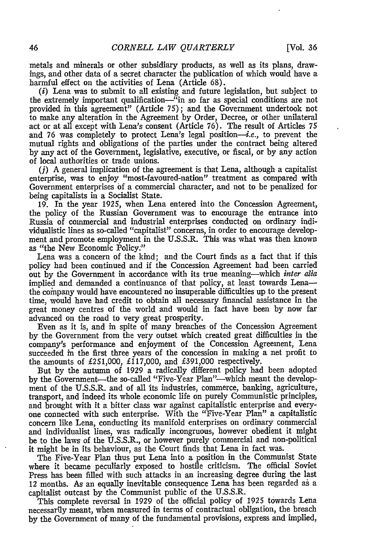metals and minerals or other subsidiary products, as well as its plans, drawings, and other data of a secret character the publication of which would have a harmful effect on the activities of Lena (Article 68).

*(i)* Lena was to submit to all existing and future legislation, but subject to the extremely important qualification-"in so far as special conditions are not provided in this agreement" (Article 75); and the Government undertook not to make any alteration in the Agreement by Order, Decree, or other unilateral act or at all except with Lena's consent (Article 76). The result of Articles 75 and 76 was completely to protect Lena's legal position-i.e., to prevent the mutual rights and obligations of the parties under the contract being altered by any act of the Government, legislative, executive, or fiscal, or by any action of local authorities or trade unions.

**(j)** A general implication of the agreement is that Lena, although a capitalist enterprise, was to enjoy "most-favoured-nation" treatment as compared with Government enterprises of a commercial character, and not to be penalized for being capitalists in a Socialist State.

19. In the year 1925, when Lena entered into the Concession Agreement, the policy of the Russian Government was to encourage the entrance into Russia of commercial and industrial enterprises conducted on ordinary individualistic lines as so-called "capitalist" concerns, in order to encourage development and promote employment in the U.S.S.R. This was what was then known as "the New Economic Policy:"

Lena was a concern of the kind; and the Court finds as a fact that if this policy had been continued and if the Concession Agreement had been carried out by the Government in accordance with its true meaning-which *inter alia* implied and demanded a continuance of that policy, at least towards Lenathe coinpany would have encountered no insuperable difficulties up to the present time, would have had credit to obtain all necessary financial assistance in the great money centres of the world and would in fact have been by now far advanced on the road to very great prosperity.

Even as it is, and in spite of many breaches of the Concession Agreement by the Government from the very outset which created great difficulties in the company's performance and enjoyment of the Concession Agreement, Lena succeeded in the first three years of the concession in making a net profit to the amounts of £251,000, £117,000, and £391,000 respectively.

But by the autumn of 1929 a radically different policy had been adopted by the Government-the so-called "Five-Year Plan"-which meant the development of the U.S.S.R. and of all Its industries, commerce, banking, agriculture, transport, and indeed its whole economic life on purely Communistic principles, and brought with it a bitter class war against capitalistic enterprise and everyone connected with such enterprise. With the "Five-Year Plan" a capitalistic concern like Lena, conducting its manifold enterprises on ordinary commercial and individualist lines, was radically incongruous, however obedient it might be to the laws of the U.S.S.R., or however purely commercial and non-political it might be in its behaviour, as the Court finds that Lena in fact was.

The Five-Year Plan thus put Lena into a position in the Communist State where it became peculiarly exposed to hostile criticism. The official Soviet Press has been filled with such attacks in an increasing degree during the last 12 months. As an equally inevitable consequence Lena has been regarded as a capitalist outcast by the Communist public of the U.S.S.R.

This complete reversal in 1929 of the official policy of 1925 towards Lena necessarily meant, when measured in terms of contractual obligation, the breach by the Government of many of the fundamental provisions, express and implied,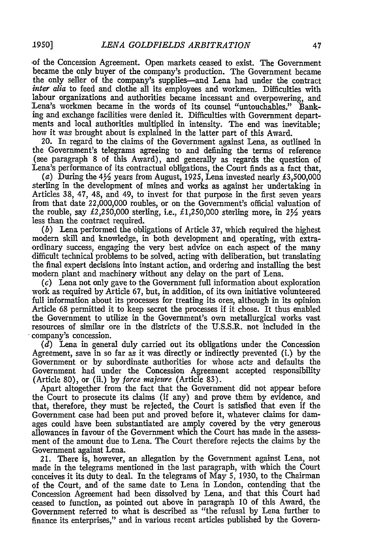of the Concession Agreement. Open markets ceased to exist. The Government became the only buyer of the company's production. The Government became the only seller of the company's supplies--and Lena had under the contract *inter alia* to feed and clothe all its employees and workmen. Difficulties with labour organizations and authorities became incessant and overpowering, and Lena's workmen became in the words of its counsel "untouchables." Banking and exchange facilities were denied it. Difficulties with Government departments and local authorities multiplied in intensity. The end was inevitable; how it was brought about is explained in the latter part of this Award.

20. In regard to the claims of the Government against Lena, as outlined in the Government's telegrams agreeing to and defining the terms of reference (see paragraph 8 of this Award), and generally as regards the question of Lena's performance of its contractual obligations, the Court finds as a fact that,

(a) During the **4Y2** years from August, 1925, Lena invested nearly £3,500,000 sterling in the development of mines and works as against her undertaking in Articles 38, 47, 48, and 49, to invest for that purpose in the first seven years from that date 22,000,000 roubles, or on the Government's official valuation of the rouble, say  $\text{\pounds}2,250,000$  sterling, i.e.,  $\text{\pounds}1,250,000$  sterling more, in  $2\frac{1}{2}$  years less than the contract required.

*(b)* Lena performed the obligations of Article 37, which required the highest modern skill and knowledge, in both development and operating, with extraordinary success, engaging the very best advice on each aspect of the many difficult technical problems to be solved, acting with deliberation, but translating the final expert decisions into instant action, and ordering and installing the best modern plant and machinery without any delay on the part of Lena.

(c) Lena not only gave to the Government full information about exploration work as required by Article 67, but, in addition, of its own initiative volunteered full information about its processes for treating its ores, although in its opinion Article 68 permitted it to keep secret the processes if it chose. It thus enabled the Government to utilize in the Government's own metallurgical works vast resources of similar ore in the districts of the U.S.S.R. not included in the company's concession.

*(d)* Lena in general duly carried out its obligations under the Concession Agreement, save in so far as it was directly or indirectly prevented (i.) by the Government or by subordinate authorities for whose acts and defaults the Government had under the Concession Agreement accepted responsibility (Article 80), or (ii.) by *force miajeure* (Article 83).

Apart altogether from the fact that the Government did not appear before the Court to prosecute its claims (if any) and prove them by evidence, and that, therefore, they must be rejected, the Court is satisfied that even if the Government case had been put and proved before it, whatever claims for damages could have been substantiated are amply covered by the very generous allowances in favour of the Government which the Court has made in the assessment of the amount due to Lena. The Court therefore rejects the claims by the Government against Lena.

21. There is, however, an allegation by the Government against Lena, not made in the telegrams mentioned in the last paragraph, with which the Court conceives it its duty to deal. In the telegrams of May 5, 1930, to the Chairman of the Court, and of the same date to Lena in London, contending that the Concession Agreement had been dissolved by Lena, and that this Court had ceased to function, as pointed out above in paragraph **10** of this Award, the Government referred to what is described as "the refusal by Lena further to finance its enterprises," and in various recent articles published by the Govern-

*1950]*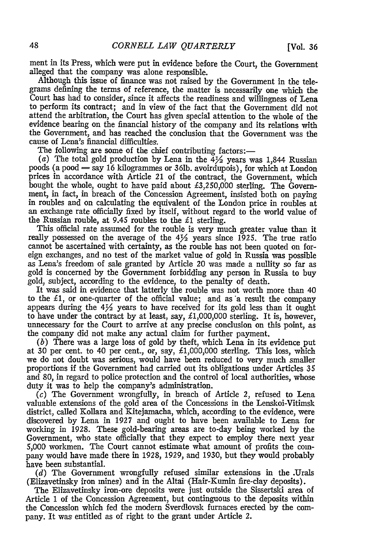ment in its Press, which were put in evidence before the Court, the Government alleged that the company was alone responsible.

Although this issue of finance was not raised by the Government in the telegrams defining the terms of reference, the matter is necessarily one which the Court has had to consider, since it affects the readiness and willingness of Lena to perform its contract; and in view of the fact that the Government did not attend the arbitration, the Court has given special attention to the whole of the evidence bearing on the financial history of the company and its relations with the Government, and has reached the conclusion that the Government was the cause of Lena's financial difficulties.

The following are some of the chief contributing factors:-

(a) The total gold production by Lena in the **42** years was 1,844 Russian poods (a pood  $=$  say 16 kilogrammes or 36lb. avoirdupois), for which at London prices in accordance with Article 21 of the contract, the Government, which bought the whole, ought to have paid about £3,250,000 sterling. The Government, in fact, in breach of the Concession Agreement, insisted both on paying in roubles and on calculating the equivalent of the London price in roubles at an exchange rate officially fixed by itself, without regard to the world value of the Russian rouble, at 9.45 roubles to the *£1* sterling.

This official rate assumed for the rouble is very much greater value than it really possessed on the average of the  $4\frac{1}{2}$  years since 1925. The true ratio cannot be ascertained with certainty, as the rouble has not been quoted on foreign exchanges, and no test of the market value of gold in Russia was possible as Lena's freedom of sale granted by Article 20 was made a nullity so far as gold is concerned by the Government forbidding any person in Russia to buy gold, subject, according to the evidence, to the penalty of death.

It was said in evidence that latterly the rouble was not worth more than 40 to the *£1,* or one-quarter of the official value; and as a result the company appears during the  $4\frac{1}{2}$  years to have received for its gold less than it ought to have under the contract by at least, say, £1,000,000 sterling. It is, however, unnecessary for the Court to arrive at any precise conclusion on this point, as the company did not make any actual claim for further payment.

(b) There was a large loss of gold by theft, which Lena in its evidence put at 30 per cent. to 40 per cent., or, say, £1,000,000 sterling. This loss, which we do not doubt was serious, would have been reduced to very much smaller proportions if the Government had carried out its obligations under Articles 35 and 80, in regard to police protection and the control of local authorities, whose duty it was to help the company's administration.

(c) The Government wrongfully, in breach of Article *2,* refused to Lena valuable extensions of the gold area of the Concessions in the Lenskoi-Vitimsk district, called Kollara and Kitejamacha, which, according to the evidence, were discovered by Lena in 1927 and ought to have been available to Lena for working in 1928. These gold-bearing areas are to-day being worked by the Government, who state officially that they expect to employ there next year 5,000 workmen. The Court cannot estimate what amount of profits the company would have made there in 1928, 1929, and 1930, but they would probably have been substantial.

*(d)* The Government wrongfully refused similar extensions in the .Urals (Elizavetinsky iron mines) and in the Altai (Hair-Kumin fire-clay deposits).

The Elizavetinsky iron-ore deposits were just outside the Sissertski area of Article 1 of the Concession Agreement, but continguous to the deposits within the Concession which fed the modern Sverdlovsk furnaces erected by the company. It was entitled as of right to the grant under Article 2.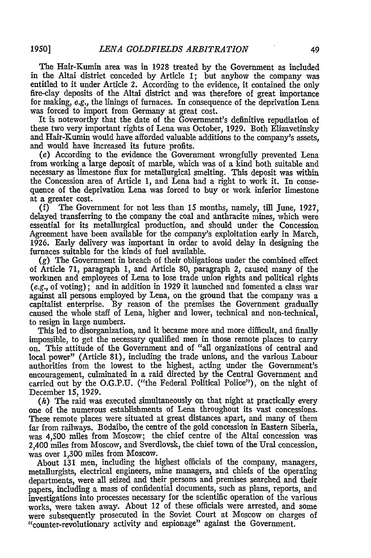The Hair-Kumin area was in 1928 treated by the Government as included in the Altai district conceded by Article **1;** but anyhow the company was entitled to it under Article 2. According to the evidence, it contained the only fire-clay deposits of the Altai district and was therefore of great importance for making, e.g., the linings of furnaces. In consequence of the deprivation Lena was forced to import from Germany at great cost.

It is noteworthy that the date of the Government's definitive repudiation of these two very important rights of Lena was October, 1929. Both Elizavetinsky and Hair-Kumin would have afforded valuable additions to the company's assets, and would have increased its future profits.

(e) According to the evidence the Government wrongfully prevented Lena from working a large deposit of marble, which was of a kind both suitable and necessary as limestone flux for metallurgical smelting. This deposit was within the Concession area of Article 1, and Lena had a right to work it. In consequence of the deprivation Lena was forced to buy or work inferior limestone at a greater cost.

(f) The Government for not less than 15 months, namely, till June, 1927, delayed transferring to the company the coal and anthracite mines, which were essential for its metallurgical production, and should under the Concession Agreement have been available for the company's exploitation early in March, 1926. Early delivery was important in order to avoid delay in designing the furnaces suitable for the kinds of fuel available.

**(g)** The Government in breach of their obligations under the combined effect of Article 71, paragraph 1, and Article 80, paragraph 2, caused many of the workmen and employees of Lena to lose trade union rights and political rights *(e.g.,* of voting); and in addition in 1929 it launched and fomented a class war against all persons employed by Lena, on the ground that the company was a capitalist enterprise. By reason of the premises the Government gradually caused the whole staff of Lena, higher and lower, technical and non-technical, to resign in large numbers.

This led to disorganization, and it became more and more difficult, and finally impossible, to get the necessary qualified men in those remote places to carry on. This attitude of the Government and of "all organizations of central and local power" (Article 81), including the trade unions, and the various Labour authorities from the lowest to the highest, acting under the Government's encouragement, culminated in a raid directed by the Central Government and carried out by the O.G.P.U. ("the Federal Political Police"), on the night of December 15, 1929.

*(h)* The raid was executed simultaneously on that night at practically every one of the numerous establishments of Lena throughout its vast concessions. These remote places were situated at great distances apart, and many of them far from railways. Bodaibo, the centre of the gold concession in Eastern Siberia, was 4,500 miles from Moscow; the chief centre of the Altai concession was 2,400 miles from Moscow, and Sverdlovsk, the chief town of the Ural concession, was over 1,300 miles from Moscow.

About 131 men, including the highest officials of the company, managers, metallurgists, electrical engineers, mine managers, and chiefs of the operating departments, were all seized and their persons and premises searched and their papers, including a mass of confidential documents, such as plans, reports, and investigations into processes necessary for the scientific operation of the various works, were taken away. About 12 of these officials were arrested, and some were subsequently prosecuted in the Soviet Court at Moscow on charges of ''counter-revolutionary activity and espionage" against the Government.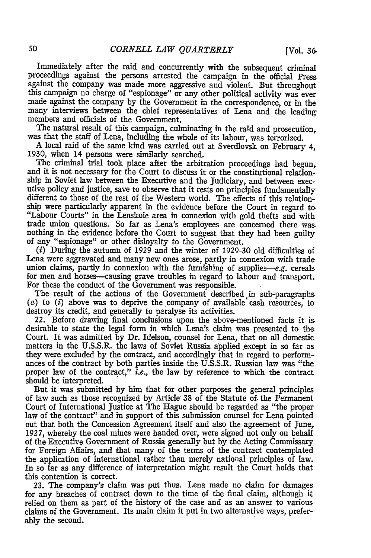Immediately after the raid and concurrently with the subsequent criminal proceedings against the persons arrested the campaign in the official Press, against the company was made more aggressive and violent. But throughout this campaign no charge of "espionage" or any other political activity was ever made against the company by the Government in the correspondence, or in the many interviews between the chief representatives of Lena and the leading members and officials of the Government.

The natural result of this campaign, culminating in the raid and prosecution, was that the staff of Lena, including the whole of its labour, was terrorized.

A local raid of the same kind was carried out at Sverdlovsk on February 4, 1930, when 14 persons were similarly searched.

The criminal trial took place after the arbitration proceedings had begun. and it is not necessary for the Court to discuss It or the constitutional relationship in Soviet law between the Executive and the Judiciary, and between executive policy and justice, save to observe that it rests on principles fundamentally different to those of the rest of the Western world. The effects of this relationship were particularly apparent in the evidence before the Court in regard to "Labour Courts" in the Lenskoie area in connexion with gold thefts and with trade union questions. So far as Lena's employees are concerned there was nothing in the evidence before the Court to suggest that they had been guilty of any "espionage" or other disloyalty to the Government.

(i) During the autumn of 1929 and the winter of 1929-30 old difficulties of Lena were aggravated and many new ones arose, partly in connexion with trade union claims, partly in connexion with the furnishing of supplies-e.g. cereals for men and horses-causing grave troubles in regard to labour and transport. For these the conduct of the Government was responsible.

The result of the actions of the Government described in sub-paragraphs. *(a)* to (i) above was to deprive the company of available' cash resources, to destroy its credit, and generally to paralyse its activities.

22. Before drawing final conclusions upon the above-mentioned facts it is desirable to state the legal form in which Lena's claim was presented to the Court. It was admitted by Dr. Idelson, counsel for Lena, that on all domestic matters in the U.S.S.R. the laws of Soviet Russia applied except in so far as they were excluded by the contract, and accordingly that in regard to performances of the contract by both parties inside the U.S.S.R. Russian law was "the proper law of the contract," i.e., the law by reference to which the contract should be interpreted.

But it was submitted by him that for other purposes the general principles of law such as those recognized by Article" 38 of the Statute of. the Permanent Court of International Justice at The Hague should be regarded as "the proper law of the contract" and in support of this submission counsel for Lena pointed out that both the Concession Agreement itself and also the agreement of June, 1927, whereby the coal mines were handed over, were signed not only on behalf of the Executive Government of Russia generally but by the Acting Commissary for Foreign Affairs, and that many of the terms of the contract contemplated the application of international rather than merely national principles of law. In so far as any difference of interpretation might result the Court holds that this contention is correct.

23. The company's claim was put thus. Lena made no claim for damages for any breaches of contract down to the time of the final claim, although it relied on them as part of the history of the case and as an answer to various claims of the Government. Its main claim it put in two alternative ways, preferably the second.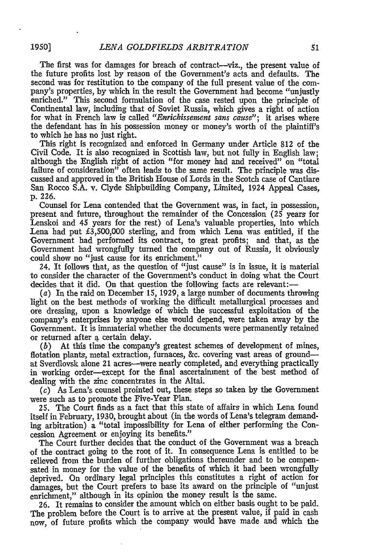The first was for damages for breach of contract-viz., the present value of the future profits lost by reason of the Government's acts and defaults. The second was for restitution to the company of the full present value of the company's properties, by which in the result the Government had become "unjustly enriched." This second formulation of the case rested upon the principle of Continental law, including that of Soviet Russia, which gives a right of action for what in French law is called *"Enrickissement sans cause";* it arises where the defendant has in his possession money or money's worth of the plaintiff's to which he has no just right.

This right is recognized and enforced in Germany under Article 812 of the Civil Code. It is also recognized in Scottish law, but not fully in English law; although the English right of action "for money had and received" on "total failure of consideration" often leads to the same result. The principle was discussed and approved in the British House of Lords in the Scotch case of Cantiare San Rocco S.A. v. Clyde Shipbuilding Company, Limited, 1924 Appeal Cases, p. 226.

Counsel for Lena contended that the Government was, in fact, in possession, present and future, throughout the remainder of the Concession (25 years for Lenskoi and 45 years for the rest) of Lena's valuable properties, into which Lena had put  $\text{\pounds}3,500,000$  sterling, and from which Lena was entitled, if the Government had performed its contract, to great profits; and that, as the Government had wrongfully turned the company out of Russia, it obviously could show no "just cause for its enrichment."

24. It follows that, as the question of "just cause" is in issue, it is material to consider the character of the Government's conduct in doing what the Court decides that it did. On that question the following facts are relevant:-

(a) In the raid on December 15, 1929, a large number of documents throwing light on the best methods of working the difficult metallurgical processes and ore dressing, upon a knowledge of which the successful exploitation of the company's enterprises by anyone else would depend, were taken away by the Government. It is immaterial whether the documents were permanently retained or returned after a certain delay.

*(b)* At this time the company's greatest schemes of development of mines, flotation plants, metal extraction, furnaces, &c. covering vast areas of groundat Sverdlovsk alone 21 acres-were nearly completed, and everything practically in working order-except for the final ascertainment of the best method of dealing with the zinc concentrates in the Altai.

*(c)* As Lena's counsel prointed out, these steps so taken by the Government were such as to promote the Five-Year Plan.

25. The Court finds as a fact that this state of affairs in which Lena found itself in February, 1930, brought about (in the words of Lena's telegram demanding arbitration) a "total impossibility for Lena of either performing the Concession Agreement or enjoying its benefits."

The Court further decides that the conduct of the Government was a breach of the contract going to the root of it. In consequence Lena is entitled to be relieved from the burden of further obligations thereunder and to be compensated in money for the value of the benefits of which it had been wrongfully deprived. On ordinary legal principles this constitutes a right of action for damages, but the Court prefers to base its award on the principle of "unjust enrichment," although in its opinion the money result is the same.

26. It remains to consider the amount which on either basis ought to be paid. The problem before the Court is to arrive at the present value, if paid in cash now, of future profits which the company would have made and which the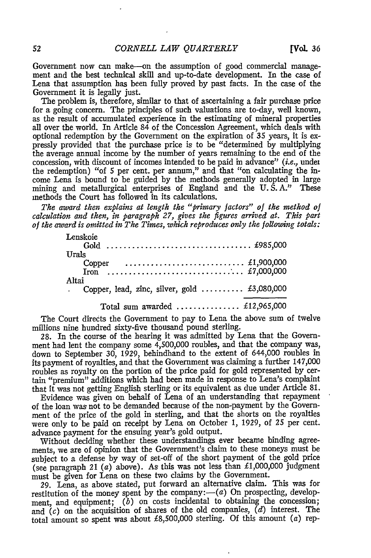Government now can make-on the assumption of good commercial management and the best technical skill and up-to-date development. In the case of Lena that assumption has been fully proved by past facts. In the case of the Government it is legally just.

The problem is, therefore, similar to that of ascertaining a fair purchase price for a going concern. The principles of such valuations are to-day, well known, as the result of accumulated experience in the estimating of mineral properties all over the world. In Article 84 of the Concession Agreement, which deals with optional redemption by the Government on the expiration of 35 years, it is expressly provided that the purchase price is to be "determined by multiplying the average annual income by the number of years remaining to the end of the concession, with discount of incomes intended to be paid in advance" (*i.e.*, under the redemption) "of 5 per cent. per annum," and that "on calculating the income Lena is bound to be guided by the methods generally adopted in large mining and metallurgical enterprises of England and the U.S.A." These methods the Court has followed in its calculations.

*The award then explains at length the "primary factors" of the method of calculation and then, in paragraph 27, gives the figures arrived at. This part of the award is omitted in The Times, which reproduces only the following totals:*

| Lenskoie                                                                           |
|------------------------------------------------------------------------------------|
|                                                                                    |
| Urals                                                                              |
| Copper $\ldots \ldots \ldots \ldots \ldots \ldots \ldots \ldots \ldots$ £1,900,000 |
|                                                                                    |
| Altai                                                                              |
| . Copper, lead, zinc, silver, gold $\text{\pounds}3,080,000$                       |
| Total sum awarded $£12,965,000$                                                    |
|                                                                                    |

The Court directs the Government to pay to Lena the above sum of twelve millions nine hundred sixty-five thousand pound sterling.

28. In the course of the hearing it was admitted by Lena that the Government had lent the company some 4,500,000 roubles, and that the company was, down to September 30, 1929, behindhand to the extent of 644,000 roubles in its payment of royalties, and that the Government was claiming a further 147,000 roubles as royalty on the portion of the price paid for gold represented by certain "premium" additions which had been made in response to Lena's complaint that it was not getting English sterling or its equivalent as due under Article 81.

Evidence was given on behalf of Lena of an understanding that repayment of the loan was not to be demanded because of the non-payment by the Government of the price of the gold in sterling, and that the shorts on the royalties were only to be paid on receipt by Lena on October 1, 1929, of **25** per cent. advance payment for the ensuing year's gold output.

Without deciding whether these understandings ever became binding agreements, we are of opinion that the Government's claim to these moneys must be subject to a defense by way of set-off of the short payment of the gold price (see paragraph 21  $(a)$  above). As this was not less than £1,000,000 judgment must be given for Lena on these two claims by the Government.

29. Lena, as above stated, put forward an alternative claim. This was for restitution of the money spent by the company:— $(a)$  On prospecting, development, and equipment;  $(b)$  on costs incidental to obtaining the concession; and *(c)* on the acquisition of shares of the old companies, *(d)* interest. The total amount so spent was about £8,500,000 sterling. Of this amount  $(a)$  rep